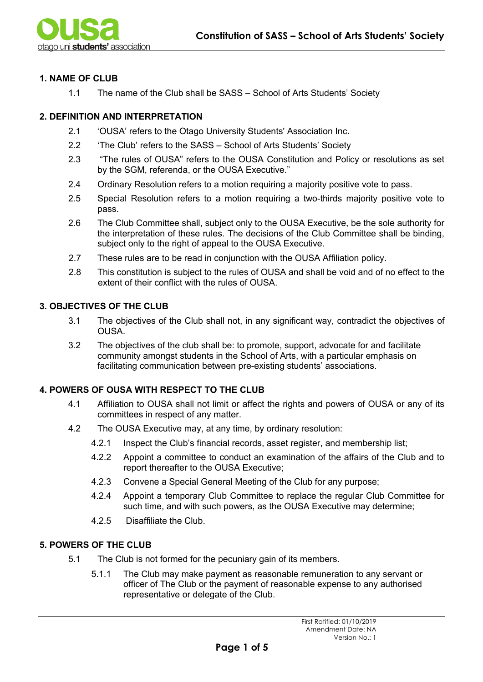## **1. NAME OF CLUB**

1.1 The name of the Club shall be SASS – School of Arts Students' Society

## **2. DEFINITION AND INTERPRETATION**

- 2.1 'OUSA' refers to the Otago University Students' Association Inc.
- 2.2 'The Club' refers to the SASS School of Arts Students' Society
- 2.3 "The rules of OUSA" refers to the OUSA Constitution and Policy or resolutions as set by the SGM, referenda, or the OUSA Executive."
- 2.4 Ordinary Resolution refers to a motion requiring a majority positive vote to pass.
- 2.5 Special Resolution refers to a motion requiring a two-thirds majority positive vote to pass.
- 2.6 The Club Committee shall, subject only to the OUSA Executive, be the sole authority for the interpretation of these rules. The decisions of the Club Committee shall be binding, subject only to the right of appeal to the OUSA Executive.
- 2.7 These rules are to be read in conjunction with the OUSA Affiliation policy.
- 2.8 This constitution is subject to the rules of OUSA and shall be void and of no effect to the extent of their conflict with the rules of OUSA.

# **3. OBJECTIVES OF THE CLUB**

- 3.1 The objectives of the Club shall not, in any significant way, contradict the objectives of OUSA.
- 3.2 The objectives of the club shall be: to promote, support, advocate for and facilitate community amongst students in the School of Arts, with a particular emphasis on facilitating communication between pre-existing students' associations.

### **4. POWERS OF OUSA WITH RESPECT TO THE CLUB**

- 4.1 Affiliation to OUSA shall not limit or affect the rights and powers of OUSA or any of its committees in respect of any matter.
- 4.2 The OUSA Executive may, at any time, by ordinary resolution:
	- 4.2.1 Inspect the Club's financial records, asset register, and membership list;
	- 4.2.2 Appoint a committee to conduct an examination of the affairs of the Club and to report thereafter to the OUSA Executive;
	- 4.2.3 Convene a Special General Meeting of the Club for any purpose;
	- 4.2.4 Appoint a temporary Club Committee to replace the regular Club Committee for such time, and with such powers, as the OUSA Executive may determine;
	- 4.2.5 Disaffiliate the Club.

# **5. POWERS OF THE CLUB**

- 5.1 The Club is not formed for the pecuniary gain of its members.
	- 5.1.1 The Club may make payment as reasonable remuneration to any servant or officer of The Club or the payment of reasonable expense to any authorised representative or delegate of the Club.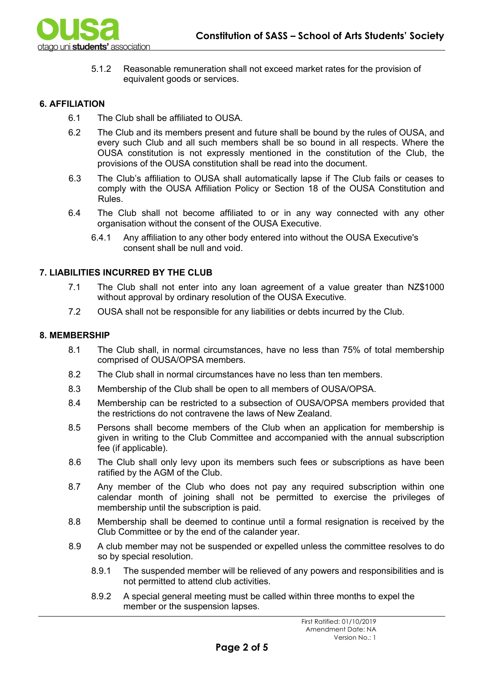

5.1.2 Reasonable remuneration shall not exceed market rates for the provision of equivalent goods or services.

### **6. AFFILIATION**

- 6.1 The Club shall be affiliated to OUSA.
- 6.2 The Club and its members present and future shall be bound by the rules of OUSA, and every such Club and all such members shall be so bound in all respects. Where the OUSA constitution is not expressly mentioned in the constitution of the Club, the provisions of the OUSA constitution shall be read into the document.
- 6.3 The Club's affiliation to OUSA shall automatically lapse if The Club fails or ceases to comply with the OUSA Affiliation Policy or Section 18 of the OUSA Constitution and Rules.
- 6.4 The Club shall not become affiliated to or in any way connected with any other organisation without the consent of the OUSA Executive.
	- 6.4.1 Any affiliation to any other body entered into without the OUSA Executive's consent shall be null and void.

## **7. LIABILITIES INCURRED BY THE CLUB**

- 7.1 The Club shall not enter into any loan agreement of a value greater than NZ\$1000 without approval by ordinary resolution of the OUSA Executive.
- 7.2 OUSA shall not be responsible for any liabilities or debts incurred by the Club.

#### **8. MEMBERSHIP**

- 8.1 The Club shall, in normal circumstances, have no less than 75% of total membership comprised of OUSA/OPSA members.
- 8.2 The Club shall in normal circumstances have no less than ten members.
- 8.3 Membership of the Club shall be open to all members of OUSA/OPSA.
- 8.4 Membership can be restricted to a subsection of OUSA/OPSA members provided that the restrictions do not contravene the laws of New Zealand.
- 8.5 Persons shall become members of the Club when an application for membership is given in writing to the Club Committee and accompanied with the annual subscription fee (if applicable).
- 8.6 The Club shall only levy upon its members such fees or subscriptions as have been ratified by the AGM of the Club.
- 8.7 Any member of the Club who does not pay any required subscription within one calendar month of joining shall not be permitted to exercise the privileges of membership until the subscription is paid.
- 8.8 Membership shall be deemed to continue until a formal resignation is received by the Club Committee or by the end of the calander year.
- 8.9 A club member may not be suspended or expelled unless the committee resolves to do so by special resolution.
	- 8.9.1 The suspended member will be relieved of any powers and responsibilities and is not permitted to attend club activities.
	- 8.9.2 A special general meeting must be called within three months to expel the member or the suspension lapses.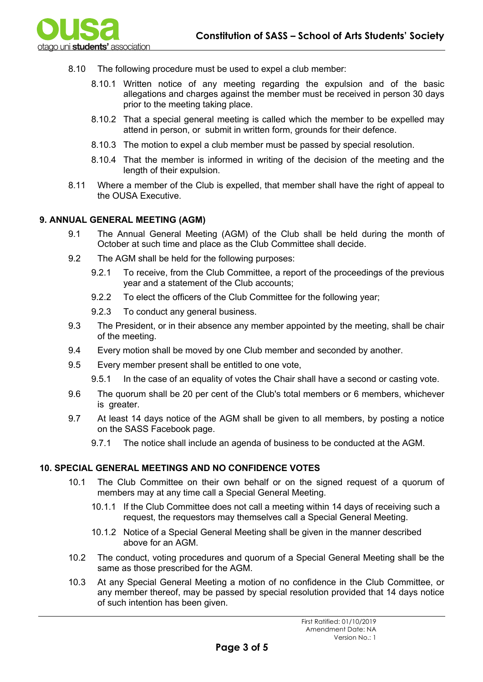

- 8.10 The following procedure must be used to expel a club member:
	- 8.10.1 Written notice of any meeting regarding the expulsion and of the basic allegations and charges against the member must be received in person 30 days prior to the meeting taking place.
	- 8.10.2 That a special general meeting is called which the member to be expelled may attend in person, or submit in written form, grounds for their defence.
	- 8.10.3 The motion to expel a club member must be passed by special resolution.
	- 8.10.4 That the member is informed in writing of the decision of the meeting and the length of their expulsion.
- 8.11 Where a member of the Club is expelled, that member shall have the right of appeal to the OUSA Executive.

# **9. ANNUAL GENERAL MEETING (AGM)**

- 9.1 The Annual General Meeting (AGM) of the Club shall be held during the month of October at such time and place as the Club Committee shall decide.
- 9.2 The AGM shall be held for the following purposes:
	- 9.2.1 To receive, from the Club Committee, a report of the proceedings of the previous year and a statement of the Club accounts;
	- 9.2.2 To elect the officers of the Club Committee for the following year;
	- 9.2.3 To conduct any general business.
- 9.3 The President, or in their absence any member appointed by the meeting, shall be chair of the meeting.
- 9.4 Every motion shall be moved by one Club member and seconded by another.
- 9.5 Every member present shall be entitled to one vote,
	- 9.5.1 In the case of an equality of votes the Chair shall have a second or casting vote.
- 9.6 The quorum shall be 20 per cent of the Club's total members or 6 members, whichever is greater.
- 9.7 At least 14 days notice of the AGM shall be given to all members, by posting a notice on the SASS Facebook page.
	- 9.7.1 The notice shall include an agenda of business to be conducted at the AGM.

# **10. SPECIAL GENERAL MEETINGS AND NO CONFIDENCE VOTES**

- 10.1 The Club Committee on their own behalf or on the signed request of a quorum of members may at any time call a Special General Meeting.
	- 10.1.1 If the Club Committee does not call a meeting within 14 days of receiving such a request, the requestors may themselves call a Special General Meeting.
	- 10.1.2 Notice of a Special General Meeting shall be given in the manner described above for an AGM.
- 10.2 The conduct, voting procedures and quorum of a Special General Meeting shall be the same as those prescribed for the AGM.
- 10.3 At any Special General Meeting a motion of no confidence in the Club Committee, or any member thereof, may be passed by special resolution provided that 14 days notice of such intention has been given.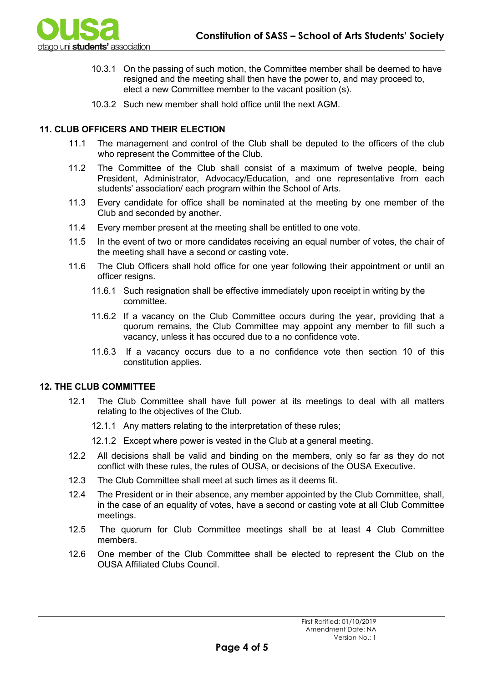

- 10.3.1 On the passing of such motion, the Committee member shall be deemed to have resigned and the meeting shall then have the power to, and may proceed to, elect a new Committee member to the vacant position (s).
- 10.3.2 Such new member shall hold office until the next AGM.

### **11. CLUB OFFICERS AND THEIR ELECTION**

- 11.1 The management and control of the Club shall be deputed to the officers of the club who represent the Committee of the Club.
- 11.2 The Committee of the Club shall consist of a maximum of twelve people, being President, Administrator, Advocacy/Education, and one representative from each students' association/ each program within the School of Arts.
- 11.3 Every candidate for office shall be nominated at the meeting by one member of the Club and seconded by another.
- 11.4 Every member present at the meeting shall be entitled to one vote.
- 11.5 In the event of two or more candidates receiving an equal number of votes, the chair of the meeting shall have a second or casting vote.
- 11.6 The Club Officers shall hold office for one year following their appointment or until an officer resigns.
	- 11.6.1 Such resignation shall be effective immediately upon receipt in writing by the committee.
	- 11.6.2 If a vacancy on the Club Committee occurs during the year, providing that a quorum remains, the Club Committee may appoint any member to fill such a vacancy, unless it has occured due to a no confidence vote.
	- 11.6.3 If a vacancy occurs due to a no confidence vote then section 10 of this constitution applies.

#### **12. THE CLUB COMMITTEE**

- 12.1 The Club Committee shall have full power at its meetings to deal with all matters relating to the objectives of the Club.
	- 12.1.1 Any matters relating to the interpretation of these rules;
	- 12.1.2 Except where power is vested in the Club at a general meeting.
- 12.2 All decisions shall be valid and binding on the members, only so far as they do not conflict with these rules, the rules of OUSA, or decisions of the OUSA Executive.
- 12.3 The Club Committee shall meet at such times as it deems fit.
- 12.4 The President or in their absence, any member appointed by the Club Committee, shall, in the case of an equality of votes, have a second or casting vote at all Club Committee meetings.
- 12.5 The quorum for Club Committee meetings shall be at least 4 Club Committee members.
- 12.6 One member of the Club Committee shall be elected to represent the Club on the OUSA Affiliated Clubs Council.